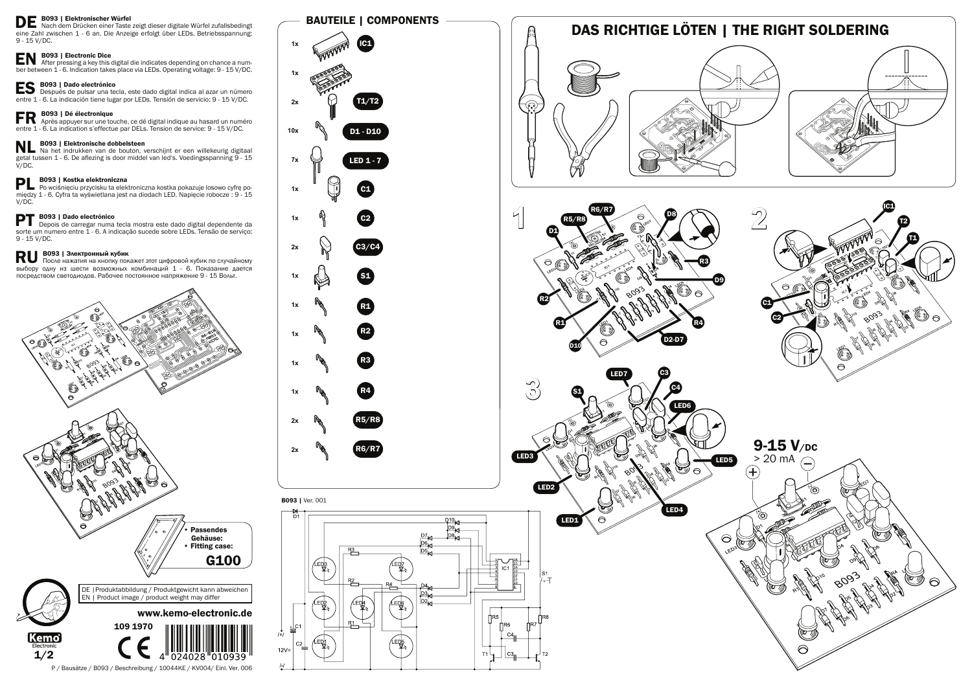DE B093 | Elektronischer Würfel Nach dem Drücken einer Taste zeigt dieser digitale Würfel zufallsbedingt eine Zahl zwischen 1 - 6 an. Die Anzeige erfolgt über LEDs. Betriebsspannung: 9 - 15 V/DC.

EN B093 | Electronic Dice<br>After pressing a key this digital die indicates depending on chance a number between 1 - 6. Indication takes place via LEDs. Operating voltage: 9 - 15 V/DC.

ES B093 | Dado electrónico<br>Después de pulsar una tecla, este dado digital indica al azar un número entre 1 - 6. La indicación tiene lugar por LEDs. Tensión de servicio: 9 - 15 V/DC.

FR B093 | Dé électronique<br>
Après appuyer sur une touche, ce dé digital indique au hasard un numéro<br>
Après appuyer sur une touche, ce dé digital indique au hasard un numéro entre 1 - 6. La indication s'effectue par DELs. Tension de service: 9 - 15 V/DC.

NL B093 | Elektronische dobbelsteen<br>Na het indrukken van de bouton, verschijnt er een willekeurig digitaal getal tussen 1 - 6. De aflezing is door middel van led's. Voedingsspanning 9 - 15 V/DC.

**PL B093 | Kostka elektroniczna**<br>Po wciśnięciu przycisku ta elektroniczna kostka pokazuje losowo cyfrę po-<br>priedmi 4 - 6 O fra ta unividade ist na diadach LED Nasiasia rehasacja 0 - 45 między 1 - 6. Cyfra ta wyświetlana jest na diodach LED. Napięcie robocze : 9 - 15 V/DC.

**PT B093 | Dado electrónico**<br>Depois de carregar numa tecla mostra este dado digital dependente da sorte um numero entre 1 - 6. A indicação sucede sobre LEDs. Tensão de serviço: 9 - 15 V/DC.

# RU B093 | Электронный кубик

После нажатия на кнопку покажет этот цифровой кубик по случайному выбору одну из шести возможных комбинаций 1 - 6. Показание дается посредством светодиодов. Рабочее постоянное напряжение 9 - 15 Вольт.







D8

R3

D9

D2-D7

R4



 $\circledcirc$ 



C3

C4

LED<sub>4</sub>

LED6